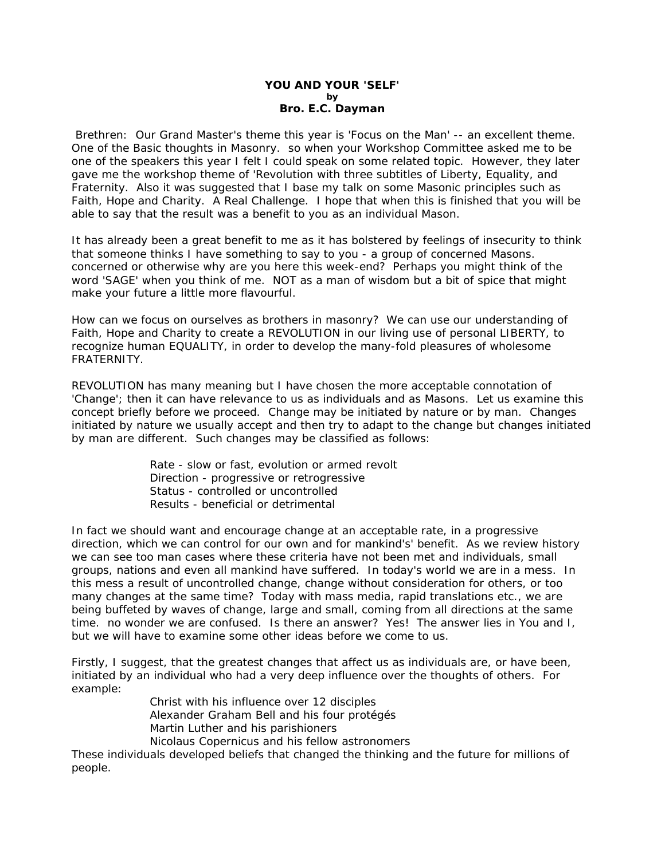## **YOU AND YOUR 'SELF' by Bro. E.C. Dayman**

 Brethren: Our Grand Master's theme this year is 'Focus on the Man' -- an excellent theme. One of the Basic thoughts in Masonry. so when your Workshop Committee asked me to be one of the speakers this year I felt I could speak on some related topic. However, they later gave me the workshop theme of 'Revolution with three subtitles of Liberty, Equality, and Fraternity. Also it was suggested that I base my talk on some Masonic principles such as Faith, Hope and Charity. A Real Challenge. I hope that when this is finished that you will be able to say that the result was a benefit to you as an individual Mason.

It has already been a great benefit to me as it has bolstered by feelings of insecurity to think that someone thinks I have something to say to you - a group of concerned Masons. concerned or otherwise why are you here this week-end? Perhaps you might think of the word 'SAGE' when you think of me. NOT as a man of wisdom but a bit of spice that might make your future a little more flavourful.

How can we focus on ourselves as brothers in masonry? We can use our understanding of Faith, Hope and Charity to create a REVOLUTION in our living use of personal LIBERTY, to recognize human EQUALITY, in order to develop the many-fold pleasures of wholesome FRATERNITY.

REVOLUTION has many meaning but I have chosen the more acceptable connotation of 'Change'; then it can have relevance to us as individuals and as Masons. Let us examine this concept briefly before we proceed. Change may be initiated by nature or by man. Changes initiated by nature we usually accept and then try to adapt to the change but changes initiated by man are different. Such changes may be classified as follows:

> Rate - slow or fast, evolution or armed revolt Direction - progressive or retrogressive Status - controlled or uncontrolled Results - beneficial or detrimental

In fact we should want and encourage change at an acceptable rate, in a progressive direction, which we can control for our own and for mankind's' benefit. As we review history we can see too man cases where these criteria have not been met and individuals, small groups, nations and even all mankind have suffered. In today's world we are in a mess. In this mess a result of uncontrolled change, change without consideration for others, or too many changes at the same time? Today with mass media, rapid translations etc., we are being buffeted by waves of change, large and small, coming from all directions at the same time. no wonder we are confused. Is there an answer? Yes! The answer lies in You and I, but we will have to examine some other ideas before we come to us.

Firstly, I suggest, that the greatest changes that affect us as individuals are, or have been, initiated by an individual who had a very deep influence over the thoughts of others. For example:

> Christ with his influence over 12 disciples Alexander Graham Bell and his four protégés Martin Luther and his parishioners Nicolaus Copernicus and his fellow astronomers

These individuals developed beliefs that changed the thinking and the future for millions of people.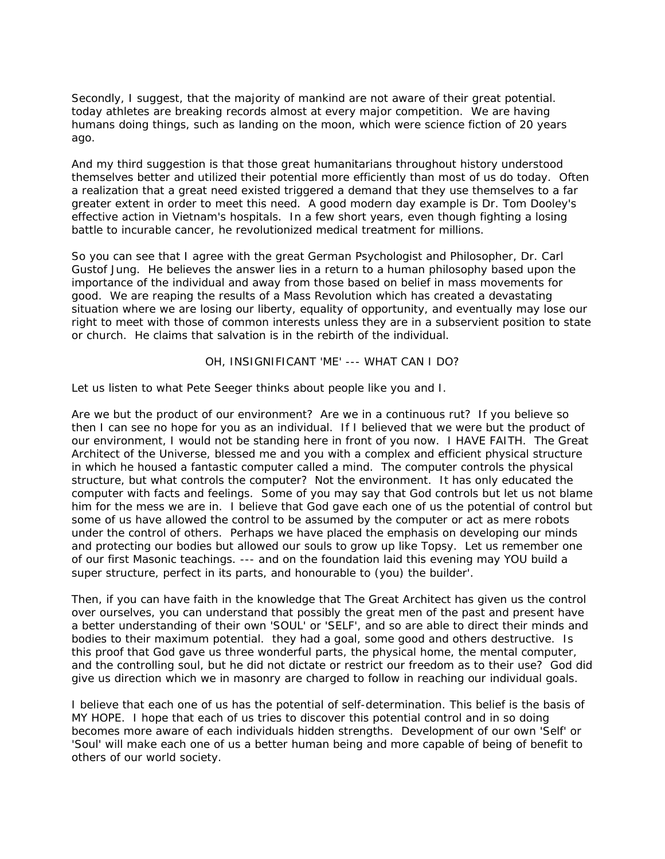Secondly, I suggest, that the majority of mankind are not aware of their great potential. today athletes are breaking records almost at every major competition. We are having humans doing things, such as landing on the moon, which were science fiction of 20 years ago.

And my third suggestion is that those great humanitarians throughout history understood themselves better and utilized their potential more efficiently than most of us do today. Often a realization that a great need existed triggered a demand that they use themselves to a far greater extent in order to meet this need. A good modern day example is Dr. Tom Dooley's effective action in Vietnam's hospitals. In a few short years, even though fighting a losing battle to incurable cancer, he revolutionized medical treatment for millions.

So you can see that I agree with the great German Psychologist and Philosopher, Dr. Carl Gustof Jung. He believes the answer lies in a return to a human philosophy based upon the importance of the individual and away from those based on belief in mass movements for good. We are reaping the results of a Mass Revolution which has created a devastating situation where we are losing our liberty, equality of opportunity, and eventually may lose our right to meet with those of common interests unless they are in a subservient position to state or church. He claims that salvation is in the rebirth of the individual.

## OH, INSIGNIFICANT 'ME' --- WHAT CAN I DO?

Let us listen to what Pete Seeger thinks about people like you and I.

Are we but the product of our environment? Are we in a continuous rut? If you believe so then I can see no hope for you as an individual. If I believed that we were but the product of our environment, I would not be standing here in front of you now. I HAVE FAITH. The Great Architect of the Universe, blessed me and you with a complex and efficient physical structure in which he housed a fantastic computer called a mind. The computer controls the physical structure, but what controls the computer? Not the environment. It has only educated the computer with facts and feelings. Some of you may say that God controls but let us not blame him for the mess we are in. I believe that God gave each one of us the potential of control but some of us have allowed the control to be assumed by the computer or act as mere robots under the control of others. Perhaps we have placed the emphasis on developing our minds and protecting our bodies but allowed our souls to grow up like Topsy. Let us remember one of our first Masonic teachings. --- and on the foundation laid this evening may YOU build a super structure, perfect in its parts, and honourable to (you) the builder'.

Then, if you can have faith in the knowledge that The Great Architect has given us the control over ourselves, you can understand that possibly the great men of the past and present have a better understanding of their own 'SOUL' or 'SELF', and so are able to direct their minds and bodies to their maximum potential. they had a goal, some good and others destructive. Is this proof that God gave us three wonderful parts, the physical home, the mental computer, and the controlling soul, but he did not dictate or restrict our freedom as to their use? God did give us direction which we in masonry are charged to follow in reaching our individual goals.

I believe that each one of us has the potential of self-determination. This belief is the basis of MY HOPE. I hope that each of us tries to discover this potential control and in so doing becomes more aware of each individuals hidden strengths. Development of our own 'Self' or 'Soul' will make each one of us a better human being and more capable of being of benefit to others of our world society.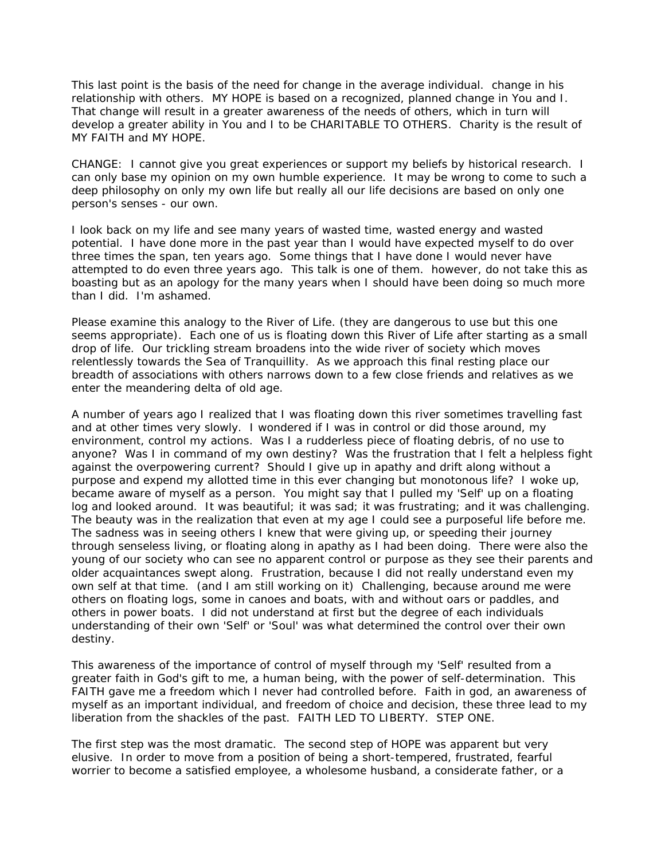This last point is the basis of the need for change in the average individual. change in his relationship with others. MY HOPE is based on a recognized, planned change in You and I. That change will result in a greater awareness of the needs of others, which in turn will develop a greater ability in You and I to be CHARITABLE TO OTHERS. Charity is the result of MY FAITH and MY HOPE.

CHANGE: I cannot give you great experiences or support my beliefs by historical research. I can only base my opinion on my own humble experience. It may be wrong to come to such a deep philosophy on only my own life but really all our life decisions are based on only one person's senses - our own.

I look back on my life and see many years of wasted time, wasted energy and wasted potential. I have done more in the past year than I would have expected myself to do over three times the span, ten years ago. Some things that I have done I would never have attempted to do even three years ago. This talk is one of them. however, do not take this as boasting but as an apology for the many years when I should have been doing so much more than I did. I'm ashamed.

Please examine this analogy to the River of Life. (they are dangerous to use but this one seems appropriate). Each one of us is floating down this River of Life after starting as a small drop of life. Our trickling stream broadens into the wide river of society which moves relentlessly towards the Sea of Tranquillity. As we approach this final resting place our breadth of associations with others narrows down to a few close friends and relatives as we enter the meandering delta of old age.

A number of years ago I realized that I was floating down this river sometimes travelling fast and at other times very slowly. I wondered if I was in control or did those around, my environment, control my actions. Was I a rudderless piece of floating debris, of no use to anyone? Was I in command of my own destiny? Was the frustration that I felt a helpless fight against the overpowering current? Should I give up in apathy and drift along without a purpose and expend my allotted time in this ever changing but monotonous life? I woke up, became aware of myself as a person. You might say that I pulled my 'Self' up on a floating log and looked around. It was beautiful; it was sad; it was frustrating; and it was challenging. The beauty was in the realization that even at my age I could see a purposeful life before me. The sadness was in seeing others I knew that were giving up, or speeding their journey through senseless living, or floating along in apathy as I had been doing. There were also the young of our society who can see no apparent control or purpose as they see their parents and older acquaintances swept along. Frustration, because I did not really understand even my own self at that time. (and I am still working on it) Challenging, because around me were others on floating logs, some in canoes and boats, with and without oars or paddles, and others in power boats. I did not understand at first but the degree of each individuals understanding of their own 'Self' or 'Soul' was what determined the control over their own destiny.

This awareness of the importance of control of myself through my 'Self' resulted from a greater faith in God's gift to me, a human being, with the power of self-determination. This FAITH gave me a freedom which I never had controlled before. Faith in god, an awareness of myself as an important individual, and freedom of choice and decision, these three lead to my liberation from the shackles of the past. FAITH LED TO LIBERTY. STEP ONE.

The first step was the most dramatic. The second step of HOPE was apparent but very elusive. In order to move from a position of being a short-tempered, frustrated, fearful worrier to become a satisfied employee, a wholesome husband, a considerate father, or a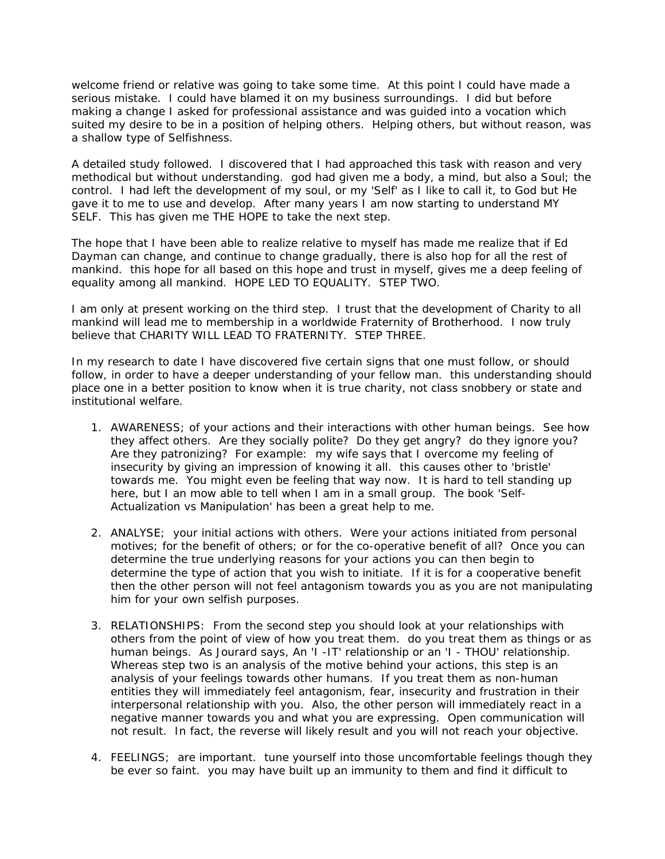welcome friend or relative was going to take some time. At this point I could have made a serious mistake. I could have blamed it on my business surroundings. I did but before making a change I asked for professional assistance and was guided into a vocation which suited my desire to be in a position of helping others. Helping others, but without reason, was a shallow type of Selfishness.

A detailed study followed. I discovered that I had approached this task with reason and very methodical but without understanding. god had given me a body, a mind, but also a Soul; the control. I had left the development of my soul, or my 'Self' as I like to call it, to God but He gave it to me to use and develop. After many years I am now starting to understand MY SELF. This has given me THE HOPE to take the next step.

The hope that I have been able to realize relative to myself has made me realize that if Ed Dayman can change, and continue to change gradually, there is also hop for all the rest of mankind. this hope for all based on this hope and trust in myself, gives me a deep feeling of equality among all mankind. HOPE LED TO EQUALITY. STEP TWO.

I am only at present working on the third step. I trust that the development of Charity to all mankind will lead me to membership in a worldwide Fraternity of Brotherhood. I now truly believe that CHARITY WILL LEAD TO FRATERNITY. STEP THREE.

In my research to date I have discovered five certain signs that one must follow, or should follow, in order to have a deeper understanding of your fellow man. this understanding should place one in a better position to know when it is true charity, not class snobbery or state and institutional welfare.

- 1. AWARENESS; of your actions and their interactions with other human beings. See how they affect others. Are they socially polite? Do they get angry? do they ignore you? Are they patronizing? For example: my wife says that I overcome my feeling of insecurity by giving an impression of knowing it all. this causes other to 'bristle' towards me. You might even be feeling that way now. It is hard to tell standing up here, but I an mow able to tell when I am in a small group. The book 'Self-Actualization vs Manipulation' has been a great help to me.
- 2. ANALYSE; your initial actions with others. Were your actions initiated from personal motives; for the benefit of others; or for the co-operative benefit of all? Once you can determine the true underlying reasons for your actions you can then begin to determine the type of action that you wish to initiate. If it is for a cooperative benefit then the other person will not feel antagonism towards you as you are not manipulating him for your own selfish purposes.
- 3. RELATIONSHIPS: From the second step you should look at your relationships with others from the point of view of how you treat them. do you treat them as things or as human beings. As Jourard says, An 'I -IT' relationship or an 'I - THOU' relationship. Whereas step two is an analysis of the motive behind your actions, this step is an analysis of your feelings towards other humans. If you treat them as non-human entities they will immediately feel antagonism, fear, insecurity and frustration in their interpersonal relationship with you. Also, the other person will immediately react in a negative manner towards you and what you are expressing. Open communication will not result. In fact, the reverse will likely result and you will not reach your objective.
- 4. FEELINGS; are important. tune yourself into those uncomfortable feelings though they be ever so faint. you may have built up an immunity to them and find it difficult to